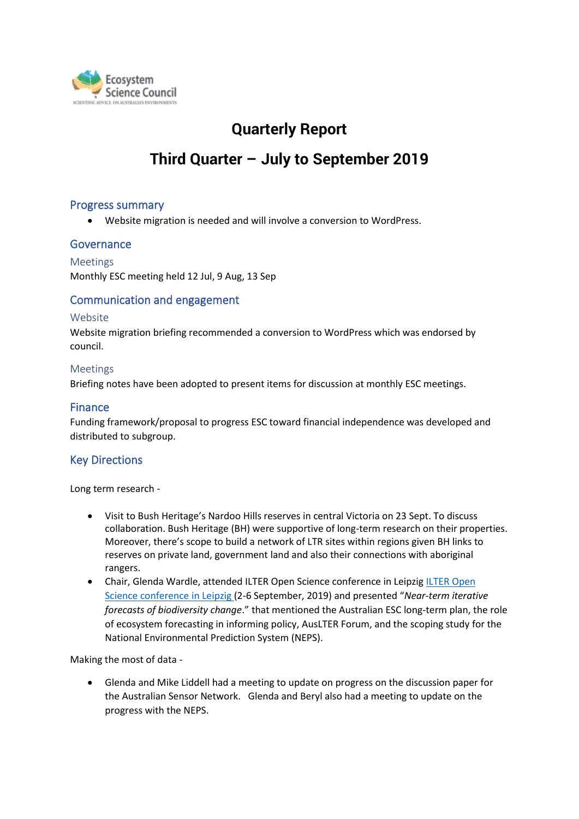

# **Quarterly Report**

# **Third Quarter – July to September 2019**

# Progress summary

• Website migration is needed and will involve a conversion to WordPress.

# **Governance**

Meetings Monthly ESC meeting held 12 Jul, 9 Aug, 13 Sep

# Communication and engagement

#### Website

Website migration briefing recommended a conversion to WordPress which was endorsed by council.

#### Meetings

Briefing notes have been adopted to present items for discussion at monthly ESC meetings.

### Finance

Funding framework/proposal to progress ESC toward financial independence was developed and distributed to subgroup.

# Key Directions

Long term research -

- Visit to Bush Heritage's Nardoo Hills reserves in central Victoria on 23 Sept. To discuss collaboration. Bush Heritage (BH) were supportive of long-term research on their properties. Moreover, there's scope to build a network of LTR sites within regions given BH links to reserves on private land, government land and also their connections with aboriginal rangers.
- Chair, Glenda Wardle, attended ILTER Open Science conference in Leipzig [ILTER](https://www.ilter.network/) Open Science conference in Leipzig (2-6 September, 2019) and presented "*Near-term iterative forecasts of biodiversity change*." that mentioned the Australian ESC long-term plan, the role of ecosystem forecasting in informing policy, AusLTER Forum, and the scoping study for the National Environmental Prediction System (NEPS).

Making the most of data -

• Glenda and Mike Liddell had a meeting to update on progress on the discussion paper for the Australian Sensor Network. Glenda and Beryl also had a meeting to update on the progress with the NEPS.